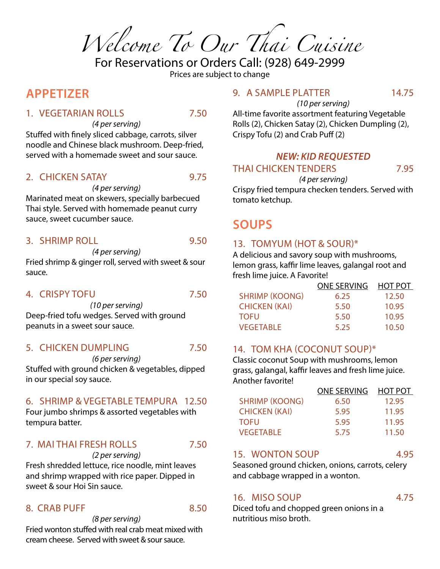*Welcome To Our Thai Cuisine*

For Reservations or Orders Call: (928) 649-2999 Prices are subject to change

# **APPETIZER**

#### 1. VEGETARIAN ROLLS 7.50

*(4 per serving)* Stuffed with finely sliced cabbage, carrots, silver noodle and Chinese black mushroom. Deep-fried, served with a homemade sweet and sour sauce.

#### 2. CHICKEN SATAY 9.75

Marinated meat on skewers, specially barbecued Thai style. Served with homemade peanut curry sauce, sweet cucumber sauce.

*(4 per serving)*

#### 3. SHRIMP ROLL 9.50

*(4 per serving)*

Fried shrimp & ginger roll, served with sweet & sour sauce.

#### 4. CRISPY TOFU 7.50

*(10 per serving)* Deep-fried tofu wedges. Served with ground peanuts in a sweet sour sauce.

#### 5. CHICKEN DUMPLING 7.50

*(6 per serving)* Stuffed with ground chicken & vegetables, dipped in our special soy sauce.

#### 6. SHRIMP & VEGETABLE TEMPURA 12.50

Four jumbo shrimps & assorted vegetables with tempura batter.

#### 7. MAI THAI FRESH ROLLS 7.50

*(2 per serving)* Fresh shredded lettuce, rice noodle, mint leaves

#### and shrimp wrapped with rice paper. Dipped in sweet & sour Hoi Sin sauce.

#### 8. CRAB PUFF 8.50

*(8 per serving)*

Fried wonton stuffed with real crab meat mixed with cream cheese. Served with sweet & sour sauce.

#### 9. A SAMPLE PLATTER 14.75

All-time favorite assortment featuring Vegetable Rolls (2), Chicken Satay (2), Chicken Dumpling (2), Crispy Tofu (2) and Crab Puff (2)

*(10 per serving)*

#### *NEW: KID REQUESTED* THAI CHICKEN TENDERS 7.95

*(4 per serving)* Crispy fried tempura checken tenders. Served with tomato ketchup.

# **SOUPS**

#### 13. TOMYUM (HOT & SOUR)\*

A delicious and savory soup with mushrooms, lemon grass, kaffir lime leaves, galangal root and fresh lime juice. A Favorite!

|                       | <b>ONE SERVING</b> | <b>HOT POT</b> |
|-----------------------|--------------------|----------------|
| <b>SHRIMP (KOONG)</b> | 6.25               | 12.50          |
| <b>CHICKEN (KAI)</b>  | 5.50               | 10.95          |
| <b>TOFU</b>           | 5.50               | 10.95          |
| <b>VEGETABLE</b>      | 5.25               | 10.50          |

#### 14. TOM KHA (COCONUT SOUP)\*

Classic coconut Soup with mushrooms, lemon grass, galangal, kaffir leaves and fresh lime juice. Another favorite!

|                       | <b>ONE SERVING</b> | <b>HOT POT</b> |
|-----------------------|--------------------|----------------|
| <b>SHRIMP (KOONG)</b> | 6.50               | 12.95          |
| <b>CHICKEN (KAI)</b>  | 5.95               | 11.95          |
| <b>TOFU</b>           | 5.95               | 11.95          |
| <b>VEGETABLE</b>      | 5.75               | 11.50          |

### 15. WONTON SOUP 4.95

Seasoned ground chicken, onions, carrots, celery and cabbage wrapped in a wonton.

### 16. MISO SOUP 4.75

Diced tofu and chopped green onions in a nutritious miso broth.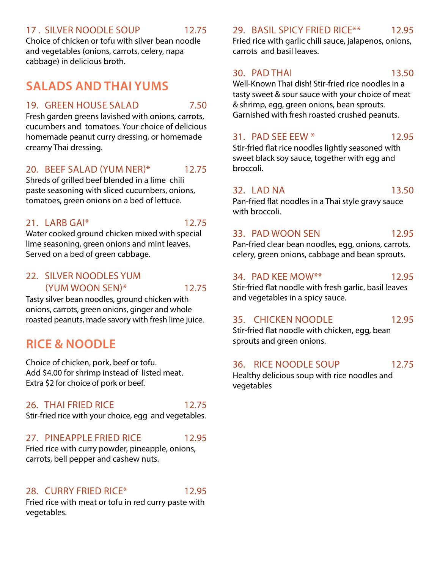#### 17 . SILVER NOODLE SOUP 12.75

Choice of chicken or tofu with silver bean noodle and vegetables (onions, carrots, celery, napa cabbage) in delicious broth.

# **SALADS AND THAI YUMS**

#### 19. GREEN HOUSE SALAD 7.50

Fresh garden greens lavished with onions, carrots, cucumbers and tomatoes. Your choice of delicious homemade peanut curry dressing, or homemade creamy Thai dressing.

#### 20. BEEF SALAD (YUM NER)\* 12.75

Shreds of grilled beef blended in a lime chili paste seasoning with sliced cucumbers, onions, tomatoes, green onions on a bed of lettuce.

#### 21. LARB GAI\* 12.75

Water cooked ground chicken mixed with special lime seasoning, green onions and mint leaves. Served on a bed of green cabbage.

#### 22. SILVER NOODLES YUM (YUM WOON SEN)\* 12.75

Tasty silver bean noodles, ground chicken with onions, carrots, green onions, ginger and whole roasted peanuts, made savory with fresh lime juice.

# **RICE & NOODLE**

Choice of chicken, pork, beef or tofu. Add \$4.00 for shrimp instead of listed meat. Extra \$2 for choice of pork or beef.

#### 26. THAI FRIED RICE 12.75

Stir-fried rice with your choice, egg and vegetables.

#### 27. PINEAPPLE FRIED RICE 12.95

Fried rice with curry powder, pineapple, onions, carrots, bell pepper and cashew nuts.

#### 28. CURRY FRIED RICE\* 12.95

Fried rice with meat or tofu in red curry paste with vegetables.

#### 29. BASIL SPICY FRIED RICE\*\* 12.95

Fried rice with garlic chili sauce, jalapenos, onions, carrots and basil leaves.

#### 30. PAD THAI 13.50

Well-Known Thai dish! Stir-fried rice noodles in a tasty sweet & sour sauce with your choice of meat & shrimp, egg, green onions, bean sprouts. Garnished with fresh roasted crushed peanuts.

#### 31. PAD SEE EEW \* 12.95

Stir-fried flat rice noodles lightly seasoned with sweet black soy sauce, together with egg and broccoli.

#### 32. LAD NA 13.50

Pan-fried flat noodles in a Thai style gravy sauce with broccoli.

#### 33. PAD WOON SEN 12.95

Pan-fried clear bean noodles, egg, onions, carrots, celery, green onions, cabbage and bean sprouts.

#### 34. PAD KEE MOW\*\* 12.95

Stir-fried flat noodle with fresh garlic, basil leaves and vegetables in a spicy sauce.

#### 35. CHICKEN NOODLE 12.95

Stir-fried flat noodle with chicken, egg, bean sprouts and green onions.

#### 36. RICE NOODLE SOUP 12.75

Healthy delicious soup with rice noodles and vegetables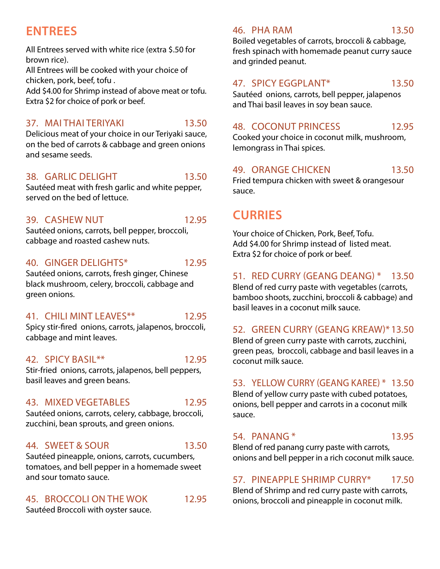# **ENTREES**

All Entrees served with white rice (extra \$.50 for brown rice).

All Entrees will be cooked with your choice of chicken, pork, beef, tofu .

Add \$4.00 for Shrimp instead of above meat or tofu. Extra \$2 for choice of pork or beef.

#### 37. MAI THAI TERIYAKI 13.50

Delicious meat of your choice in our Teriyaki sauce, on the bed of carrots & cabbage and green onions and sesame seeds.

#### 38. GARLIC DELIGHT 13.50

Sautéed meat with fresh garlic and white pepper, served on the bed of lettuce.

#### 39. CASHEW NUT 12.95

Sautéed onions, carrots, bell pepper, broccoli, cabbage and roasted cashew nuts.

#### 40. GINGER DELIGHTS\* 12.95

Sautéed onions, carrots, fresh ginger, Chinese black mushroom, celery, broccoli, cabbage and green onions.

### 41. CHILI MINT LEAVES\*\* 12.95

Spicy stir-fired onions, carrots, jalapenos, broccoli, cabbage and mint leaves.

### 42. SPICY BASIL\*\* 12.95

Stir-fried onions, carrots, jalapenos, bell peppers, basil leaves and green beans.

# 43. MIXED VEGETABLES 12.95

Sautéed onions, carrots, celery, cabbage, broccoli, zucchini, bean sprouts, and green onions.

### 44. SWEET & SOUR 13.50

Sautéed pineapple, onions, carrots, cucumbers, tomatoes, and bell pepper in a homemade sweet and sour tomato sauce.

# 45. BROCCOLI ON THE WOK 12.95

Sautéed Broccoli with oyster sauce.

#### 46. PHA RAM 13.50

Boiled vegetables of carrots, broccoli & cabbage, fresh spinach with homemade peanut curry sauce and grinded peanut.

# 47. SPICY EGGPLANT\* 13.50

Sautéed onions, carrots, bell pepper, jalapenos and Thai basil leaves in soy bean sauce.

#### 48. COCONUT PRINCESS 12.95

Cooked your choice in coconut milk, mushroom, lemongrass in Thai spices.

### 49. ORANGE CHICKEN 13.50

Fried tempura chicken with sweet & orangesour sauce.

# **CURRIES**

Your choice of Chicken, Pork, Beef, Tofu. Add \$4.00 for Shrimp instead of listed meat. Extra \$2 for choice of pork or beef.

# 51. RED CURRY (GEANG DEANG) \* 13.50

Blend of red curry paste with vegetables (carrots, bamboo shoots, zucchini, broccoli & cabbage) and basil leaves in a coconut milk sauce.

### 52. GREEN CURRY (GEANG KREAW)\*13.50

Blend of green curry paste with carrots, zucchini, green peas, broccoli, cabbage and basil leaves in a coconut milk sauce.

### 53. YELLOW CURRY (GEANG KAREE) \* 13.50

Blend of yellow curry paste with cubed potatoes, onions, bell pepper and carrots in a coconut milk sauce.

### 54. PANANG \* 13.95

Blend of red panang curry paste with carrots, onions and bell pepper in a rich coconut milk sauce.

### 57. PINEAPPLE SHRIMP CURRY\* 17.50

Blend of Shrimp and red curry paste with carrots, onions, broccoli and pineapple in coconut milk.